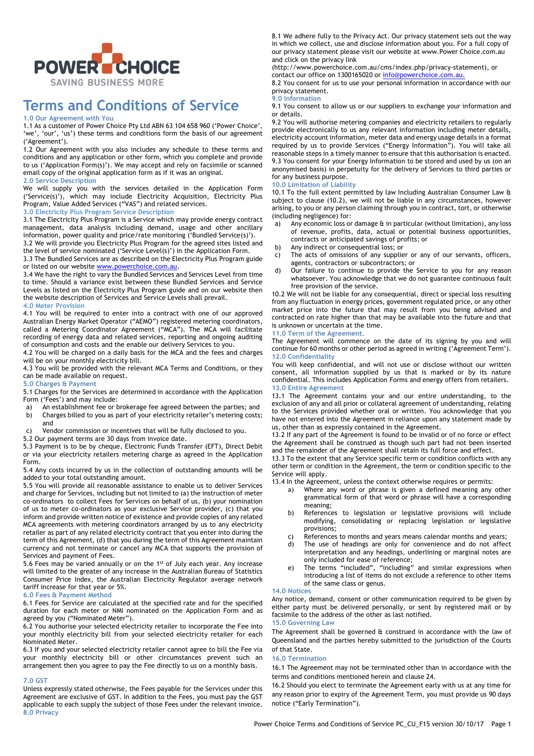

# **Terms and Conditions of Service**

#### **1.0 Our Agreement with You**

1.1 As a customer of Power Choice Pty Ltd ABN 63 104 658 960 ('Power Choice', 'we', 'our', 'us') these terms and conditions form the basis of our agreement ('Agreement').

1.2 Our Agreement with you also includes any schedule to these terms and conditions and any application or other form, which you complete and provide to us ('Application Form(s)'). We may accept and rely on facsimile or scanned email copy of the original application form as if it was an original. **2.0 Service Description**

We will supply you with the services detailed in the Application Form ('Service(s)'), which may include Electricity Acquisition, Electricity Plus Program, Value Added Services ("VAS") and related services.

# **3.0 Electricity Plus Program Service Description**

3.1 The Electricity Plus Program is a Service which may provide energy contract management, data analysis including demand, usage and other ancillary information, power quality and price/rate monitoring ('Bundled Service(s)').

3.2 We will provide you Electricity Plus Program for the agreed sites listed and the level of service nominated ('Service Level(s)') in the Application Form.

3.3 The Bundled Services are as described on the Electricity Plus Program guide or listed on our website www.powerchoice.com.au.

3.4 We have the right to vary the Bundled Services and Services Level from time to time. Should a variance exist between these Bundled Services and Service Levels as listed on the Electricity Plus Program guide and on our website then the website description of Services and Service Levels shall prevail.

#### **4.0 Meter Provision**

4.1 You will be required to enter into a contract with one of our approved Australian Energy Market Operator ("AEMO") registered metering coordinators, called a Metering Coordinator Agreement ("MCA"). The MCA will facilitate recording of energy data and related services, reporting and ongoing auditing of consumption and costs and the enable our delivery Services to you.

4.2 You will be charged on a daily basis for the MCA and the fees and charges will be on your monthly electricity bill.

4.3 You will be provided with the relevant MCA Terms and Conditions, or they can be made available on request.

#### **5.0 Charges & Payment**

5.1 Charges for the Services are determined in accordance with the Application Form ('Fees') and may include:

- a) An establishment fee or brokerage fee agreed between the parties; and b) Charges billed to you as part of your electricity retailer's metering costs; and
- c) Vendor commission or incentives that will be fully disclosed to you.

5.2 Our payment terms are 30 days from invoice date.

5.3 Payment is to be by cheque, Electronic Funds Transfer (EFT), Direct Debit or via your electricity retailers metering charge as agreed in the Application Form.

5.4 Any costs incurred by us in the collection of outstanding amounts will be added to your total outstanding amount.

5.5 You will provide all reasonable assistance to enable us to deliver Services and charge for Services, including but not limited to (a) the instruction of meter co-ordinators to collect Fees for Services on behalf of us, (b) your nomination of us to meter co-ordinators as your exclusive Service provider, (c) that you inform and provide written notice of existence and provide copies of any related MCA agreements with metering coordinators arranged by us to any electricity retailer as part of any related electricity contract that you enter into during the term of this Agreement, (d) that you during the term of this Agreement maintain currency and not terminate or cancel any MCA that supports the provision of Services and payment of Fees.

5.6 Fees may be varied annually or on the 1st of July each year. Any increase will limited to the greater of any increase in the Australian Bureau of Statistics Consumer Price Index, the Australian Electricity Regulator average network tariff increase for that year or 5%.

#### **6.0 Fees & Payment Method**

6.1 Fees for Service are calculated at the specified rate and for the specified duration for each meter or NMI nominated on the Application Form and as agreed by you ("Nominated Meter").

6.2 You authorise your selected electricity retailer to incorporate the Fee into your monthly electricity bill from your selected electricity retailer for each Nominated Meter.

6.3 If you and your selected electricity retailer cannot agree to bill the Fee via your monthly electricity bill or other circumstances prevent such an arrangement then you agree to pay the Fee directly to us on a monthly basis.

#### **7.0 GST**

Unless expressly stated otherwise, the Fees payable for the Services under this Agreement are exclusive of GST. In addition to the Fees, you must pay the GST applicable to each supply the subject of those Fees under the relevant invoice. **8.0 Privacy**

8.1 We adhere fully to the Privacy Act. Our privacy statement sets out the way in which we collect, use and disclose information about you. For a full copy of our privacy statement please visit our website at www.Power Choice.com.au and click on the privacy link

(http://www.powerchoice.com.au/cms/index.php/privacy-statement), or contact our office on 1300165020 or info@powerchoice.com.au.

8.2 You consent for us to use your personal information in accordance with our privacy statement.

#### **9.0 Information**

9.1 You consent to allow us or our suppliers to exchange your information and or details.

9.2 You will authorise metering companies and electricity retailers to regularly provide electronically to us any relevant information including meter details, electricity account information, meter data and energy usage details in a format required by us to provide Services ("Energy Information"). You will take all reasonable steps in a timely manner to ensure that this authorisation is enacted. 9.3 You consent for your Energy Information to be stored and used by us (on an anonymised basis) in perpetuity for the delivery of Services to third parties or for any business purpose.

#### **10.0 Limitation of Liability**

10.1 To the full extent permitted by law Including Australian Consumer Law & subject to clause (10.2), we will not be liable in any circumstances, however arising, to you or any person claiming through you in contract, tort, or otherwise (including negligence) for:

- a) Any economic loss or damage & in particular (without limitation), any loss of revenue, profits, data, actual or potential business opportunities, contracts or anticipated savings of profits; or
- b) Any indirect or consequential loss; or
- c) The acts of omissions of any supplier or any of our servants, officers, agents, contractors or subcontractors; or
- d) Our failure to continue to provide the Service to you for any reason whatsoever. You acknowledge that we do not guarantee continuous fault free provision of the service.

10.2 We will not be liable for any consequential, direct or special loss resulting from any fluctuation in energy prices, government regulated price, or any other market price into the future that may result from you being advised and contracted on rate higher than that may be available into the future and that is unknown or uncertain at the time.

#### **11.0 Term of the Agreement.**

The Agreement will commence on the date of its signing by you and will continue for 60 months or other period as agreed in writing ('Agreement Term'). **12.0 Confidentiality**

You will keep confidential, and will not use or disclose without our written consent, all information supplied by us that is marked or by its nature confidential. This includes Application Forms and energy offers from retailers. **13.0 Entire Agreement**

13.1 The Agreement contains your and our entire understanding, to the exclusion of any and all prior or collateral agreement of understanding, relating to the Services provided whether oral or written. You acknowledge that you have not entered into the Agreement in reliance upon any statement made by us, other than as expressly contained in the Agreement.

13.2 If any part of the Agreement is found to be invalid or of no force or effect the Agreement shall be construed as though such part had not been inserted and the remainder of the Agreement shall retain its full force and effect.

13.3 To the extent that any Service specific term or condition conflicts with any other term or condition in the Agreement, the term or condition specific to the Service will apply.

13.4 In the Agreement, unless the context otherwise requires or permits:

- a) Where any word or phrase is given a defined meaning any other grammatical form of that word or phrase will have a corresponding meaning;
- b) References to legislation or legislative provisions will include modifying, consolidating or replacing legislation or legislative provisions;
- c) References to months and years means calendar months and years;<br>d) The use of headings are only for convenience and do not affec
- The use of headings are only for convenience and do not affect interpretation and any headings, underlining or marginal notes are only included for ease of reference;
- e) The terms "included", "including" and similar expressions when introducing a list of items do not exclude a reference to other items of the same class or genus.

#### **14.0 Notices**

Any notice, demand, consent or other communication required to be given by either party must be delivered personally, or sent by registered mail or by facsimile to the address of the other as last notified. **15.0 Governing Law**

## The Agreement shall be governed & construed in accordance with the law of Queensland and the parties hereby submitted to the jurisdiction of the Courts of that State.

#### **16.0 Termination**

16.1 The Agreement may not be terminated other than in accordance with the terms and conditions mentioned herein and clause 24.

16.2 Should you elect to terminate the Agreement early with us at any time for any reason prior to expiry of the Agreement Term, you must provide us 90 days notice ("Early Termination").